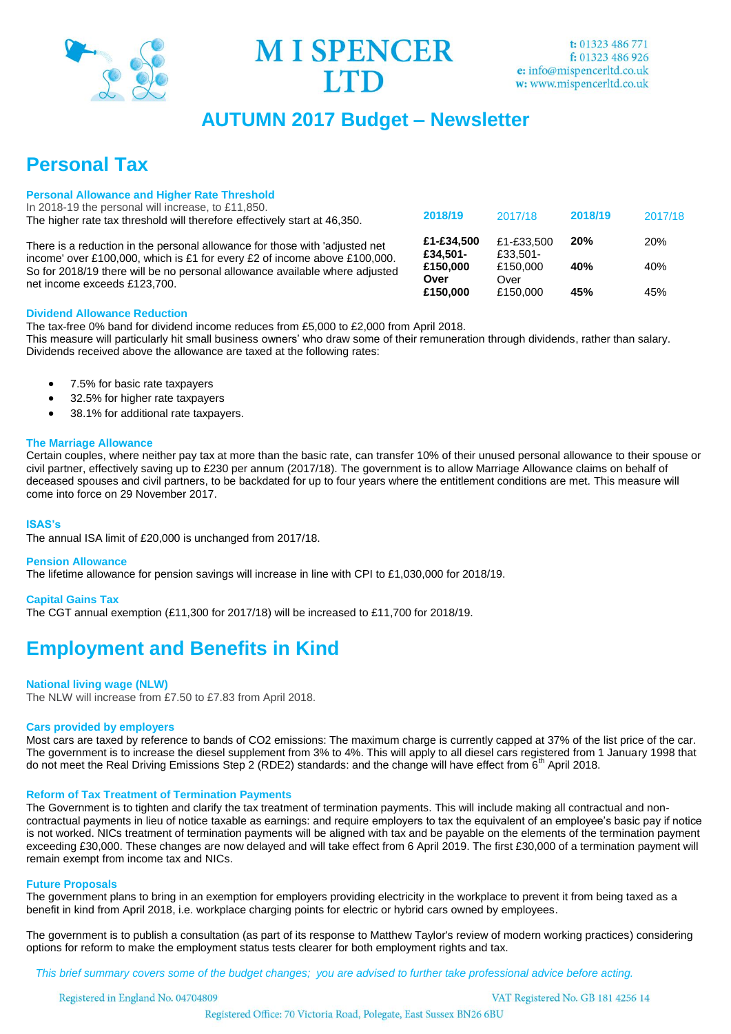

**MI SPENCER ITD** 

# **AUTUMN 2017 Budget – Newsletter**

# **Personal Tax**

### **Personal Allowance and Higher Rate Threshold**

In 2018-19 the personal will increase, to £11,850. The higher rate tax threshold will therefore effectively start at 46,350.

There is a reduction in the personal allowance for those with 'adjusted net income' over £100,000, which is £1 for every £2 of income above £100,000. So for 2018/19 there will be no personal allowance available where adjusted net income exceeds £123,700.

| 2018/19                | 2017/18                | 2018/19 | 2017/18    |
|------------------------|------------------------|---------|------------|
| £1-£34,500<br>£34,501- | £1-£33,500<br>£33.501- | 20%     | <b>20%</b> |
| £150,000<br>Over       | £150.000<br>Over       | 40%     | 40%        |
| £150,000               | £150,000               | 45%     | 45%        |

### **Dividend Allowance Reduction**

The tax-free 0% band for dividend income reduces from £5,000 to £2,000 from April 2018. This measure will particularly hit small business owners' who draw some of their remuneration through dividends, rather than salary. Dividends received above the allowance are taxed at the following rates:

- 7.5% for basic rate taxpayers
- 32.5% for higher rate taxpayers
- 38.1% for additional rate taxpayers.

### **The Marriage Allowance**

Certain couples, where neither pay tax at more than the basic rate, can transfer 10% of their unused personal allowance to their spouse or civil partner, effectively saving up to £230 per annum (2017/18). The government is to allow Marriage Allowance claims on behalf of deceased spouses and civil partners, to be backdated for up to four years where the entitlement conditions are met. This measure will come into force on 29 November 2017.

### **ISAS's**

The annual ISA limit of £20,000 is unchanged from 2017/18.

### **Pension Allowance**

The lifetime allowance for pension savings will increase in line with CPI to £1,030,000 for 2018/19.

### **Capital Gains Tax**

The CGT annual exemption (£11,300 for 2017/18) will be increased to £11,700 for 2018/19.

# **Employment and Benefits in Kind**

### **National living wage (NLW)**

The NLW will increase from £7.50 to £7.83 from April 2018.

### **Cars provided by employers**

Most cars are taxed by reference to bands of CO2 emissions: The maximum charge is currently capped at 37% of the list price of the car. The government is to increase the diesel supplement from 3% to 4%. This will apply to all diesel cars registered from 1 January 1998 that do not meet the Real Driving Emissions Step 2 (RDE2) standards: and the change will have effect from  $\tilde{6}^{th}$  April 2018.

### **Reform of Tax Treatment of Termination Payments**

The Government is to tighten and clarify the tax treatment of termination payments. This will include making all contractual and noncontractual payments in lieu of notice taxable as earnings: and require employers to tax the equivalent of an employee's basic pay if notice is not worked. NICs treatment of termination payments will be aligned with tax and be payable on the elements of the termination payment exceeding £30,000. These changes are now delayed and will take effect from 6 April 2019. The first £30,000 of a termination payment will remain exempt from income tax and NICs.

### **Future Proposals**

The government plans to bring in an exemption for employers providing electricity in the workplace to prevent it from being taxed as a benefit in kind from April 2018, i.e. workplace charging points for electric or hybrid cars owned by employees.

The government is to publish a consultation (as part of its response to Matthew Taylor's review of modern working practices) considering options for reform to make the employment status tests clearer for both employment rights and tax.

 *This brief summary covers some of the budget changes; you are advised to further take professional advice before acting.* 

Registered in England No. 04704809

VAT Registered No. GB 181 4256 14